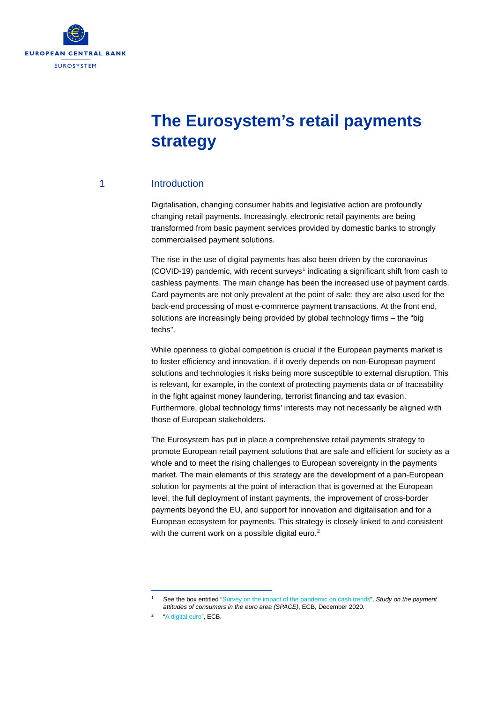

# **The Eurosystem's retail payments strategy**

#### 1 Introduction

Digitalisation, changing consumer habits and legislative action are profoundly changing retail payments. Increasingly, electronic retail payments are being transformed from basic payment services provided by domestic banks to strongly commercialised payment solutions.

The rise in the use of digital payments has also been driven by the coronavirus (COVID-[1](#page-0-0)9) pandemic, with recent surveys<sup>1</sup> indicating a significant shift from cash to cashless payments. The main change has been the increased use of payment cards. Card payments are not only prevalent at the point of sale; they are also used for the back-end processing of most e-commerce payment transactions. At the front end, solutions are increasingly being provided by global technology firms – the "big techs".

While openness to global competition is crucial if the European payments market is to foster efficiency and innovation, if it overly depends on non-European payment solutions and technologies it risks being more susceptible to external disruption. This is relevant, for example, in the context of protecting payments data or of traceability in the fight against money laundering, terrorist financing and tax evasion. Furthermore, global technology firms' interests may not necessarily be aligned with those of European stakeholders.

The Eurosystem has put in place a comprehensive retail payments strategy to promote European retail payment solutions that are safe and efficient for society as a whole and to meet the rising challenges to European sovereignty in the payments market. The main elements of this strategy are the development of a pan-European solution for payments at the point of interaction that is governed at the European level, the full deployment of instant payments, the improvement of cross-border payments beyond the EU, and support for innovation and digitalisation and for a European ecosystem for payments. This strategy is closely linked to and consistent with the current work on a possible digital euro.<sup>[2](#page-0-1)</sup>

<sup>1</sup> See the box entitled ["Survey on the impact of the pandemic on cash trends"](https://www.ecb.europa.eu/pub/pdf/other/ecb.spacereport202012%7Ebb2038bbb6.en.pdf), *Study on the payment attitudes of consumers in the euro area (SPACE)*, ECB, December 2020.

<span id="page-0-1"></span><span id="page-0-0"></span>[<sup>&</sup>quot;A digital euro",](https://www.ecb.europa.eu/euro/digital_euro/html/index.en.html) ECB.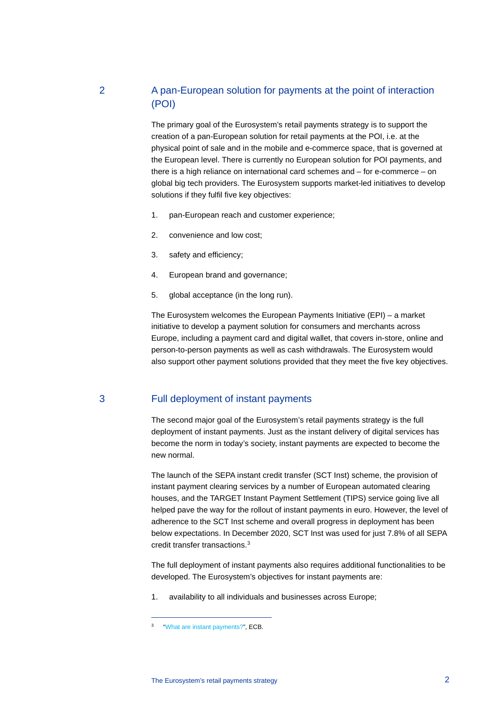### 2 A pan-European solution for payments at the point of interaction (POI)

The primary goal of the Eurosystem's retail payments strategy is to support the creation of a pan-European solution for retail payments at the POI, i.e. at the physical point of sale and in the mobile and e-commerce space, that is governed at the European level. There is currently no European solution for POI payments, and there is a high reliance on international card schemes and – for e-commerce – on global big tech providers. The Eurosystem supports market-led initiatives to develop solutions if they fulfil five key objectives:

- 1. pan-European reach and customer experience;
- 2. convenience and low cost;
- 3. safety and efficiency;
- 4. European brand and governance;
- 5. global acceptance (in the long run).

The Eurosystem welcomes the European Payments Initiative (EPI) – a market initiative to develop a payment solution for consumers and merchants across Europe, including a payment card and digital wallet, that covers in-store, online and person-to-person payments as well as cash withdrawals. The Eurosystem would also support other payment solutions provided that they meet the five key objectives.

#### 3 Full deployment of instant payments

The second major goal of the Eurosystem's retail payments strategy is the full deployment of instant payments. Just as the instant delivery of digital services has become the norm in today's society, instant payments are expected to become the new normal.

The launch of the SEPA instant credit transfer (SCT Inst) scheme, the provision of instant payment clearing services by a number of European automated clearing houses, and the TARGET Instant Payment Settlement (TIPS) service going live all helped pave the way for the rollout of instant payments in euro. However, the level of adherence to the SCT Inst scheme and overall progress in deployment has been below expectations. In December 2020, SCT Inst was used for just 7.8% of all SEPA credit transfer transactions. [3](#page-1-0)

The full deployment of instant payments also requires additional functionalities to be developed. The Eurosystem's objectives for instant payments are:

1. availability to all individuals and businesses across Europe;

The Eurosystem's retail payments strategy 2

<span id="page-1-0"></span><sup>3</sup> ["What are instant payments?",](https://www.ecb.europa.eu/paym/integration/retail/instant_payments/html/index.en.html) ECB.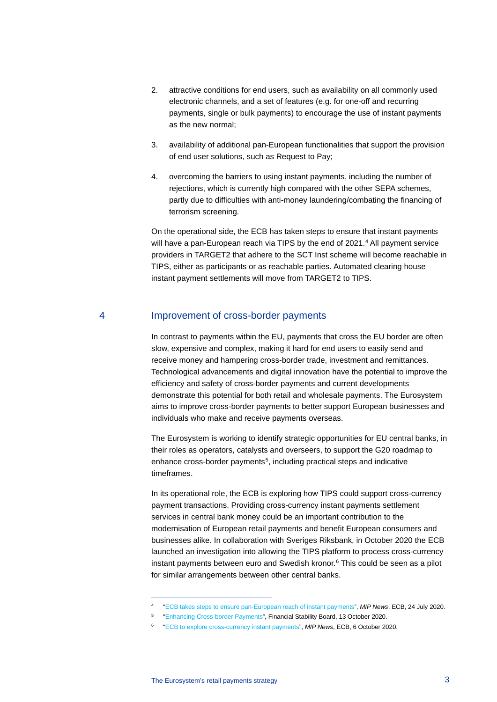- 2. attractive conditions for end users, such as availability on all commonly used electronic channels, and a set of features (e.g. for one-off and recurring payments, single or bulk payments) to encourage the use of instant payments as the new normal;
- 3. availability of additional pan-European functionalities that support the provision of end user solutions, such as Request to Pay;
- 4. overcoming the barriers to using instant payments, including the number of rejections, which is currently high compared with the other SEPA schemes, partly due to difficulties with anti-money laundering/combating the financing of terrorism screening.

On the operational side, the ECB has taken steps to ensure that instant payments will have a pan-European reach via TIPS by the end of 2021.<sup>[4](#page-2-0)</sup> All payment service providers in TARGET2 that adhere to the SCT Inst scheme will become reachable in TIPS, either as participants or as reachable parties. Automated clearing house instant payment settlements will move from TARGET2 to TIPS.

#### 4 Improvement of cross-border payments

In contrast to payments within the EU, payments that cross the EU border are often slow, expensive and complex, making it hard for end users to easily send and receive money and hampering cross-border trade, investment and remittances. Technological advancements and digital innovation have the potential to improve the efficiency and safety of cross-border payments and current developments demonstrate this potential for both retail and wholesale payments. The Eurosystem aims to improve cross-border payments to better support European businesses and individuals who make and receive payments overseas.

The Eurosystem is working to identify strategic opportunities for EU central banks, in their roles as operators, catalysts and overseers, to support the G20 roadmap to enhance cross-border payments<sup>[5](#page-2-1)</sup>, including practical steps and indicative timeframes.

In its operational role, the ECB is exploring how TIPS could support cross-currency payment transactions. Providing cross-currency instant payments settlement services in central bank money could be an important contribution to the modernisation of European retail payments and benefit European consumers and businesses alike. In collaboration with Sveriges Riksbank, in October 2020 the ECB launched an investigation into allowing the TIPS platform to process cross-currency instant payments between euro and Swedish kronor.<sup>[6](#page-2-2)</sup> This could be seen as a pilot for similar arrangements between other central banks.

<sup>4</sup> ["ECB takes steps to ensure pan-European reach of instant payments"](https://www.ecb.europa.eu/paym/intro/news/html/ecb.mipnews200724.en.html), *MIP News*, ECB, 24 July 2020.

<span id="page-2-1"></span><span id="page-2-0"></span><sup>5</sup> ["Enhancing Cross-border Payments"](https://www.fsb.org/wp-content/uploads/P131020-1.pdf), Financial Stability Board, 13 October 2020.

<span id="page-2-2"></span><sup>6</sup> ["ECB to explore cross-currency instant payments"](https://www.ecb.europa.eu/paym/intro/news/html/ecb.mipnews201006.en.html), *MIP News*, ECB, 6 October 2020.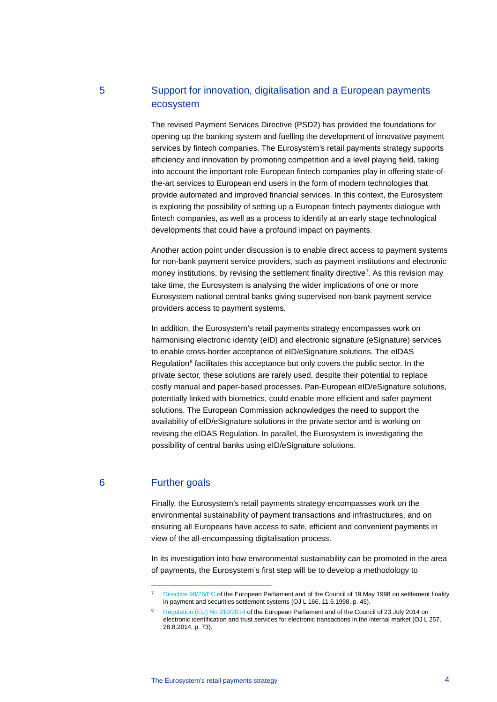## 5 Support for innovation, digitalisation and a European payments ecosystem

The revised Payment Services Directive (PSD2) has provided the foundations for opening up the banking system and fuelling the development of innovative payment services by fintech companies. The Eurosystem's retail payments strategy supports efficiency and innovation by promoting competition and a level playing field, taking into account the important role European fintech companies play in offering state-ofthe-art services to European end users in the form of modern technologies that provide automated and improved financial services. In this context, the Eurosystem is exploring the possibility of setting up a European fintech payments dialogue with fintech companies, as well as a process to identify at an early stage technological developments that could have a profound impact on payments.

Another action point under discussion is to enable direct access to payment systems for non-bank payment service providers, such as payment institutions and electronic money institutions, by revising the settlement finality directive<sup>7</sup>. As this revision may take time, the Eurosystem is analysing the wider implications of one or more Eurosystem national central banks giving supervised non-bank payment service providers access to payment systems.

In addition, the Eurosystem's retail payments strategy encompasses work on harmonising electronic identity (eID) and electronic signature (eSignature) services to enable cross-border acceptance of eID/eSignature solutions. The eIDAS Regulation $8$  facilitates this acceptance but only covers the public sector. In the private sector, these solutions are rarely used, despite their potential to replace costly manual and paper-based processes. Pan-European eID/eSignature solutions, potentially linked with biometrics, could enable more efficient and safer payment solutions. The European Commission acknowledges the need to support the availability of eID/eSignature solutions in the private sector and is working on revising the eIDAS Regulation. In parallel, the Eurosystem is investigating the possibility of central banks using eID/eSignature solutions.

#### <span id="page-3-0"></span>6 Further goals

Finally, the Eurosystem's retail payments strategy encompasses work on the environmental sustainability of payment transactions and infrastructures, and on ensuring all Europeans have access to safe, efficient and convenient payments in view of the all-encompassing digitalisation process.

In its investigation into how environmental sustainability can be promoted in the area of payments, the Eurosystem's first step will be to develop a methodology to

[Directive 98/26/EC](https://eur-lex.europa.eu/legal-content/EN/TXT/?uri=CELEX%3A31998L0026) of the European Parliament and of the Council of 19 May 1998 on settlement finality in payment and securities settlement systems (OJ L 166, 11.6.1998, p. 45).

<span id="page-3-1"></span><sup>8</sup> [Regulation \(EU\) No 910/2014](https://eur-lex.europa.eu/eli/reg/2014/910/oj) of the European Parliament and of the Council of 23 July 2014 on electronic identification and trust services for electronic transactions in the internal market (OJ L 257, 28.8.2014, p. 73).